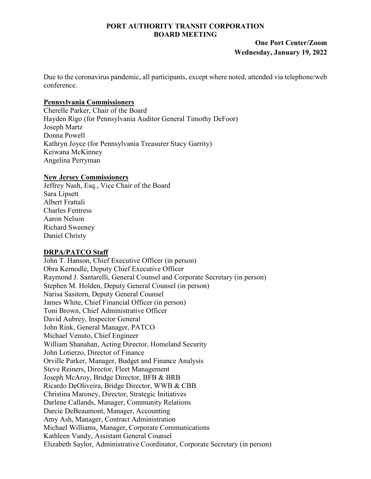### **PORT AUTHORITY TRANSIT CORPORATION BOARD MEETING**

# **One Port Center/Zoom Wednesday, January 19, 2022**

Due to the coronavirus pandemic, all participants, except where noted, attended via telephone/web conference.

### **Pennsylvania Commissioners**

Cherelle Parker, Chair of the Board Hayden Rigo (for Pennsylvania Auditor General Timothy DeFoor) Joseph Martz Donna Powell Kathryn Joyce (for Pennsylvania Treasurer Stacy Garrity) Keiwana McKinney Angelina Perryman

## **New Jersey Commissioners**

Jeffrey Nash, Esq., Vice Chair of the Board Sara Lipsett Albert Frattali Charles Fentress Aaron Nelson Richard Sweeney Daniel Christy

# **DRPA/PATCO Staff**

John T. Hanson, Chief Executive Officer (in person) Obra Kernodle, Deputy Chief Executive Officer Raymond J. Santarelli, General Counsel and Corporate Secretary (in person) Stephen M. Holden, Deputy General Counsel (in person) Narisa Sasitorn, Deputy General Counsel James White, Chief Financial Officer (in person) Toni Brown, Chief Administrative Officer David Aubrey, Inspector General John Rink, General Manager, PATCO Michael Venuto, Chief Engineer William Shanahan, Acting Director, Homeland Security John Lotierzo, Director of Finance Orville Parker, Manager, Budget and Finance Analysis Steve Reiners, Director, Fleet Management Joseph McAroy, Bridge Director, BFB & BRB Ricardo DeOliveira, Bridge Director, WWB & CBB Christina Maroney, Director, Strategic Initiatives Darlene Callands, Manager, Community Relations Darcie DeBeaumont, Manager, Accounting Amy Ash, Manager, Contract Administration Michael Williams, Manager, Corporate Communications Kathleen Vandy, Assistant General Counsel Elizabeth Saylor, Administrative Coordinator, Corporate Secretary (in person)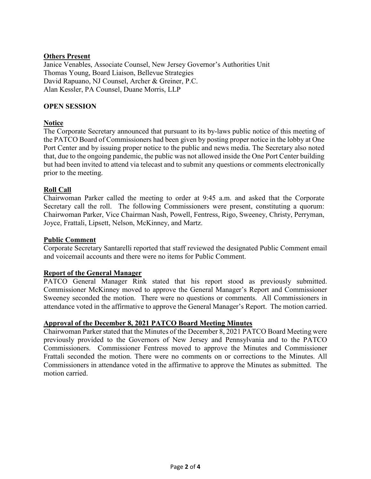### **Others Present**

Janice Venables, Associate Counsel, New Jersey Governor's Authorities Unit Thomas Young, Board Liaison, Bellevue Strategies David Rapuano, NJ Counsel, Archer & Greiner, P.C. Alan Kessler, PA Counsel, Duane Morris, LLP

### **OPEN SESSION**

## **Notice**

The Corporate Secretary announced that pursuant to its by-laws public notice of this meeting of the PATCO Board of Commissioners had been given by posting proper notice in the lobby at One Port Center and by issuing proper notice to the public and news media. The Secretary also noted that, due to the ongoing pandemic, the public was not allowed inside the One Port Center building but had been invited to attend via telecast and to submit any questions or comments electronically prior to the meeting.

## **Roll Call**

Chairwoman Parker called the meeting to order at 9:45 a.m. and asked that the Corporate Secretary call the roll. The following Commissioners were present, constituting a quorum: Chairwoman Parker, Vice Chairman Nash, Powell, Fentress, Rigo, Sweeney, Christy, Perryman, Joyce, Frattali, Lipsett, Nelson, McKinney, and Martz.

### **Public Comment**

Corporate Secretary Santarelli reported that staff reviewed the designated Public Comment email and voicemail accounts and there were no items for Public Comment.

### **Report of the General Manager**

PATCO General Manager Rink stated that his report stood as previously submitted. Commissioner McKinney moved to approve the General Manager's Report and Commissioner Sweeney seconded the motion. There were no questions or comments. All Commissioners in attendance voted in the affirmative to approve the General Manager's Report. The motion carried.

#### **Approval of the December 8, 2021 PATCO Board Meeting Minutes**

Chairwoman Parker stated that the Minutes of the December 8, 2021 PATCO Board Meeting were previously provided to the Governors of New Jersey and Pennsylvania and to the PATCO Commissioners. Commissioner Fentress moved to approve the Minutes and Commissioner Frattali seconded the motion. There were no comments on or corrections to the Minutes. All Commissioners in attendance voted in the affirmative to approve the Minutes as submitted. The motion carried.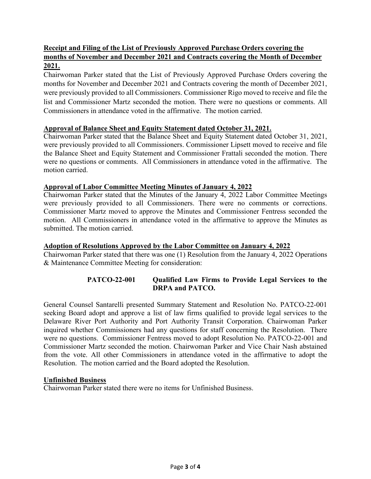# **Receipt and Filing of the List of Previously Approved Purchase Orders covering the months of November and December 2021 and Contracts covering the Month of December 2021.**

Chairwoman Parker stated that the List of Previously Approved Purchase Orders covering the months for November and December 2021 and Contracts covering the month of December 2021, were previously provided to all Commissioners. Commissioner Rigo moved to receive and file the list and Commissioner Martz seconded the motion. There were no questions or comments. All Commissioners in attendance voted in the affirmative. The motion carried.

## **Approval of Balance Sheet and Equity Statement dated October 31, 2021.**

Chairwoman Parker stated that the Balance Sheet and Equity Statement dated October 31, 2021, were previously provided to all Commissioners. Commissioner Lipsett moved to receive and file the Balance Sheet and Equity Statement and Commissioner Frattali seconded the motion. There were no questions or comments. All Commissioners in attendance voted in the affirmative. The motion carried.

## **Approval of Labor Committee Meeting Minutes of January 4, 2022**

Chairwoman Parker stated that the Minutes of the January 4, 2022 Labor Committee Meetings were previously provided to all Commissioners. There were no comments or corrections. Commissioner Martz moved to approve the Minutes and Commissioner Fentress seconded the motion. All Commissioners in attendance voted in the affirmative to approve the Minutes as submitted. The motion carried.

# **Adoption of Resolutions Approved by the Labor Committee on January 4, 2022**

Chairwoman Parker stated that there was one (1) Resolution from the January 4, 2022 Operations & Maintenance Committee Meeting for consideration:

# **PATCO-22-001 Qualified Law Firms to Provide Legal Services to the DRPA and PATCO.**

General Counsel Santarelli presented Summary Statement and Resolution No. PATCO-22-001 seeking Board adopt and approve a list of law firms qualified to provide legal services to the Delaware River Port Authority and Port Authority Transit Corporation. Chairwoman Parker inquired whether Commissioners had any questions for staff concerning the Resolution. There were no questions. Commissioner Fentress moved to adopt Resolution No. PATCO-22-001 and Commissioner Martz seconded the motion. Chairwoman Parker and Vice Chair Nash abstained from the vote. All other Commissioners in attendance voted in the affirmative to adopt the Resolution. The motion carried and the Board adopted the Resolution.

### **Unfinished Business**

Chairwoman Parker stated there were no items for Unfinished Business.